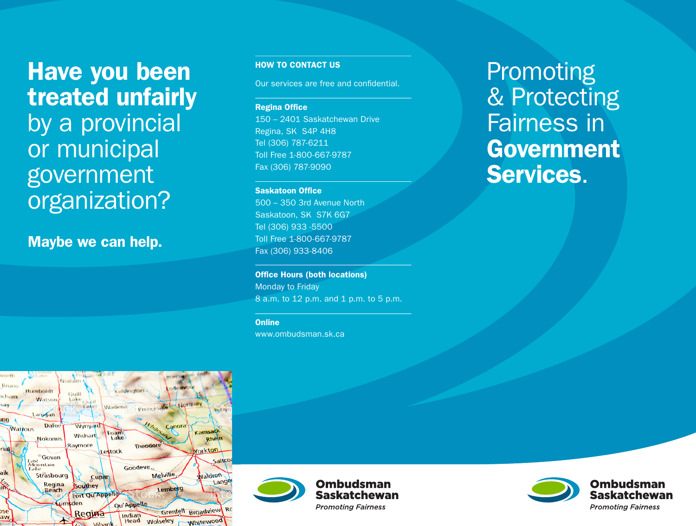Have you been treated unfairly by a provincial or municipal government organization?

Maybe we can help.

HOW TO CONTACT US

Our services are free and confidential.

**Regina Office** 150 – 2401 Saskatchewan Drive Regina, SK S4P 4H8 Tel (306) 787-6211 Toll Free 1-800-667-9787 Fax (306) 787-9090

**Saskatoon Office** 

500 – 350 3rd Avenue North Saskatoon, SK S7K 6G7 Tel (306) 933 -5500 Toll Free 1-800-667-9787 Fax (306) 933-8406

**Office Hours (both locations)** Monday to Friday 8 a.m. to 12 p.m. and 1 p.m. to 5 p.m.

**Online** 

www.ombudsman.sk.ca

Promoting & Protecting Fairness in **Government** Services.









**Ombudsman Saskatchewan Promoting Fairness**